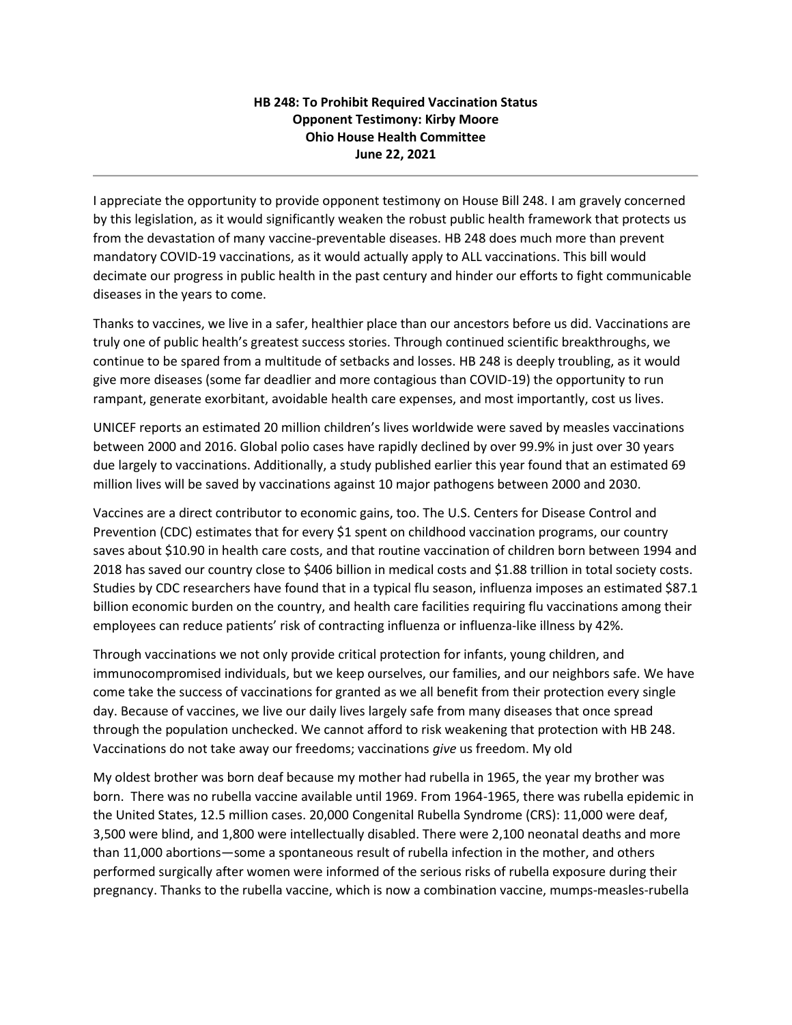## **HB 248: To Prohibit Required Vaccination Status Opponent Testimony: Kirby Moore Ohio House Health Committee June 22, 2021**

I appreciate the opportunity to provide opponent testimony on House Bill 248. I am gravely concerned by this legislation, as it would significantly weaken the robust public health framework that protects us from the devastation of many vaccine-preventable diseases. HB 248 does much more than prevent mandatory COVID-19 vaccinations, as it would actually apply to ALL vaccinations. This bill would decimate our progress in public health in the past century and hinder our efforts to fight communicable diseases in the years to come.

Thanks to vaccines, we live in a safer, healthier place than our ancestors before us did. Vaccinations are truly one of public health's greatest success stories. Through continued scientific breakthroughs, we continue to be spared from a multitude of setbacks and losses. HB 248 is deeply troubling, as it would give more diseases (some far deadlier and more contagious than COVID-19) the opportunity to run rampant, generate exorbitant, avoidable health care expenses, and most importantly, cost us lives.

UNICEF reports an estimated 20 million children's lives worldwide were saved by measles vaccinations between 2000 and 2016. Global polio cases have rapidly declined by over 99.9% in just over 30 years due largely to vaccinations. Additionally, a study published earlier this year found that an estimated 69 million lives will be saved by vaccinations against 10 major pathogens between 2000 and 2030.

Vaccines are a direct contributor to economic gains, too. The U.S. Centers for Disease Control and Prevention (CDC) estimates that for every \$1 spent on childhood vaccination programs, our country saves about \$10.90 in health care costs, and that routine vaccination of children born between 1994 and 2018 has saved our country close to \$406 billion in medical costs and \$1.88 trillion in total society costs. Studies by CDC researchers have found that in a typical flu season, influenza imposes an estimated \$87.1 billion economic burden on the country, and health care facilities requiring flu vaccinations among their employees can reduce patients' risk of contracting influenza or influenza-like illness by 42%.

Through vaccinations we not only provide critical protection for infants, young children, and immunocompromised individuals, but we keep ourselves, our families, and our neighbors safe. We have come take the success of vaccinations for granted as we all benefit from their protection every single day. Because of vaccines, we live our daily lives largely safe from many diseases that once spread through the population unchecked. We cannot afford to risk weakening that protection with HB 248. Vaccinations do not take away our freedoms; vaccinations *give* us freedom. My old

My oldest brother was born deaf because my mother had rubella in 1965, the year my brother was born. There was no rubella vaccine available until 1969. From 1964-1965, there was rubella epidemic in the United States, 12.5 million cases. 20,000 Congenital Rubella Syndrome (CRS): 11,000 were deaf, 3,500 were blind, and 1,800 were intellectually disabled. There were 2,100 neonatal deaths and more than 11,000 abortions—some a spontaneous result of rubella infection in the mother, and others performed surgically after women were informed of the serious risks of rubella exposure during their pregnancy. Thanks to the rubella vaccine, which is now a combination vaccine, mumps-measles-rubella